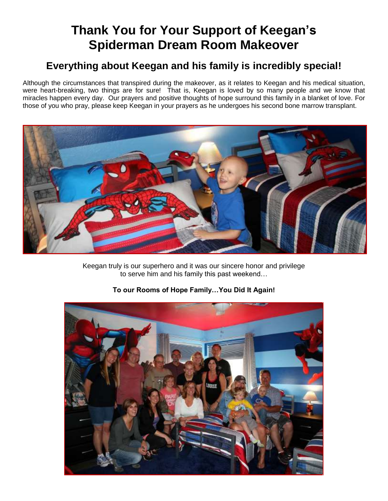## **Thank You for Your Support of Keegan's Spiderman Dream Room Makeover**

### **Everything about Keegan and his family is incredibly special!**

Although the circumstances that transpired during the makeover, as it relates to Keegan and his medical situation, were heart-breaking, two things are for sure! That is, Keegan is loved by so many people and we know that miracles happen every day. Our prayers and positive thoughts of hope surround this family in a blanket of love. For those of you who pray, please keep Keegan in your prayers as he undergoes his second bone marrow transplant.



Keegan truly is our superhero and it was our sincere honor and privilege to serve him and his family this past weekend…



#### **To our Rooms of Hope Family…You Did It Again!**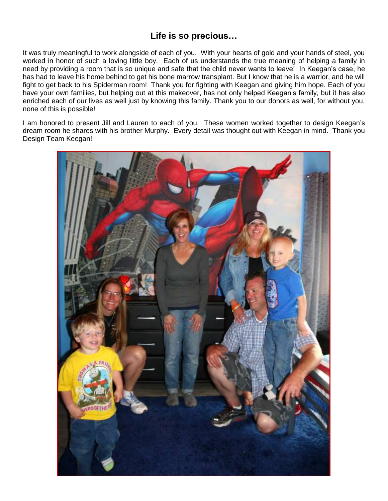#### **Life is so precious…**

It was truly meaningful to work alongside of each of you. With your hearts of gold and your hands of steel, you worked in honor of such a loving little boy. Each of us understands the true meaning of helping a family in need by providing a room that is so unique and safe that the child never wants to leave! In Keegan's case, he has had to leave his home behind to get his bone marrow transplant. But I know that he is a warrior, and he will fight to get back to his Spiderman room! Thank you for fighting with Keegan and giving him hope. Each of you have your own families, but helping out at this makeover, has not only helped Keegan's family, but it has also enriched each of our lives as well just by knowing this family. Thank you to our donors as well, for without you, none of this is possible!

I am honored to present Jill and Lauren to each of you. These women worked together to design Keegan's dream room he shares with his brother Murphy. Every detail was thought out with Keegan in mind. Thank you Design Team Keegan!

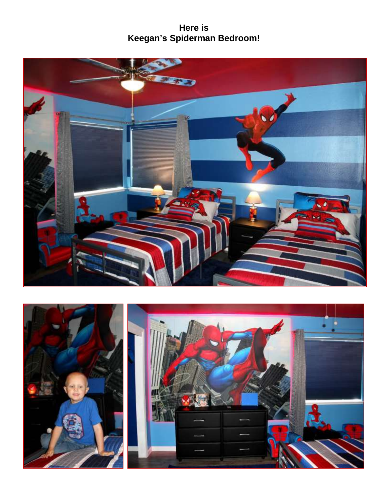**Here is Keegan's Spiderman Bedroom!** 



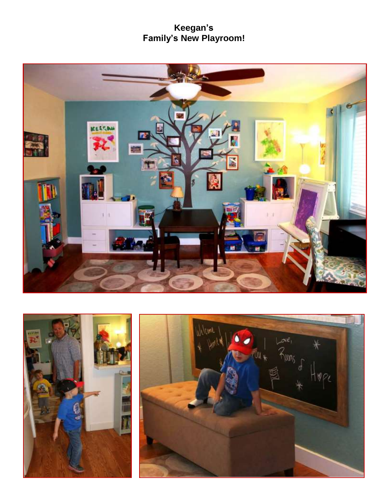#### **Keegan's Family's New Playroom!**



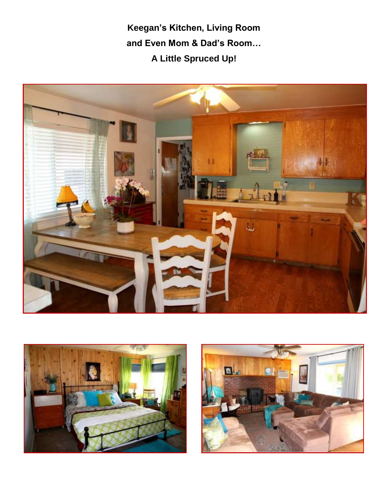**Keegan's Kitchen, Living Room and Even Mom & Dad's Room… A Little Spruced Up!** 





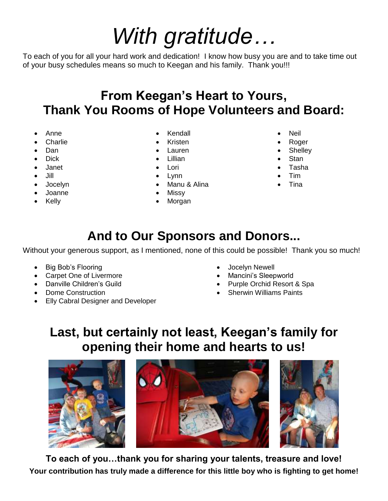# *With gratitude…*

To each of you for all your hard work and dedication! I know how busy you are and to take time out of your busy schedules means so much to Keegan and his family. Thank you!!!

## **From Keegan's Heart to Yours, Thank You Rooms of Hope Volunteers and Board:**

- Anne
- **Charlie**
- Dan
- Dick
- Janet
- Jill
- Jocelyn
- Joanne
- Kelly
- Kendall
- Kristen
- Lauren
- Lillian
- Lori
- Lynn
- Manu & Alina
- Missy
- Morgan
- Neil
- Roger
- **Shelley**
- **Stan**
- Tasha
- Tim
- Tina

## **And to Our Sponsors and Donors...**

Without your generous support, as I mentioned, none of this could be possible! Thank you so much!

- Big Bob's Flooring
- Carpet One of Livermore
- Danville Children's Guild
- Dome Construction
- **Elly Cabral Designer and Developer**
- Jocelyn Newell
- Mancini's Sleepworld
- Purple Orchid Resort & Spa
- Sherwin Williams Paints

## **Last, but certainly not least, Keegan's family for opening their home and hearts to us!**



**To each of you…thank you for sharing your talents, treasure and love! Your contribution has truly made a difference for this little boy who is fighting to get home!**